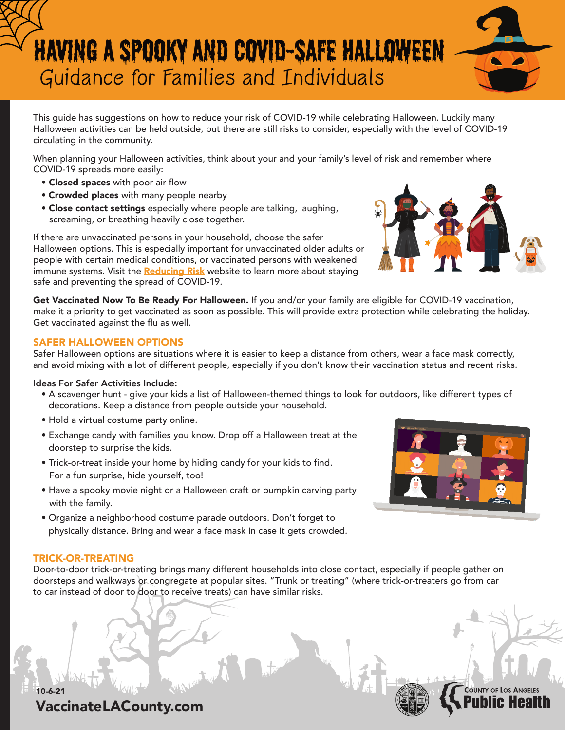# Having a Spooky and COVID-Safe Halloween Guidance for Families and Individuals

This guide has suggestions on how to reduce your risk of COVID-19 while celebrating Halloween. Luckily many Halloween activities can be held outside, but there are still risks to consider, especially with the level of COVID-19 circulating in the community.

When planning your Halloween activities, think about your and your family's level of risk and remember where COVID-19 spreads more easily:

- Closed spaces with poor air flow
- **Crowded places** with many people nearby
- Close contact settings especially where people are talking, laughing, screaming, or breathing heavily close together.

If there are unvaccinated persons in your household, choose the safer Halloween options. This is especially important for unvaccinated older adults or people with certain medical conditions, or vaccinated persons with weakened immune systems. Visit the Reducing Risk website to learn more about staying safe and preventing the spread of COVID-19.

Get Vaccinated Now To Be Ready For Halloween. If you and/or your family are eligible for COVID-19 vaccination, make it a priority to get vaccinated as soon as possible. This will provide extra protection while celebrating the holiday. Get vaccinated against the flu as well.

## SAFER HALLOWEEN OPTIONS

Safer Halloween options are situations where it is easier to keep a distance from others, wear a face mask correctly, and avoid mixing with a lot of different people, especially if you don't know their vaccination status and recent risks.

#### Ideas For Safer Activities Include:

- A scavenger hunt give your kids a list of Halloween-themed things to look for outdoors, like different types of decorations. Keep a distance from people outside your household.
- Hold a virtual costume party online.
- Exchange candy with families you know. Drop off a Halloween treat at the doorstep to surprise the kids.
- Trick-or-treat inside your home by hiding candy for your kids to find. For a fun surprise, hide yourself, too!
- Have a spooky movie night or a Halloween craft or pumpkin carving party with the family.
- Organize a neighborhood costume parade outdoors. Don't forget to physically distance. Bring and wear a face mask in case it gets crowded.

## TRICK-OR-TREATING

10-6-21

Door-to-door trick-or-treating brings many different households into close contact, especially if people gather on doorsteps and walkways or congregate at popular sites. "Trunk or treating" (where trick-or-treaters go from car to car instead of door to door to receive treats) can have similar risks.







**COUNTY OF LOS** 

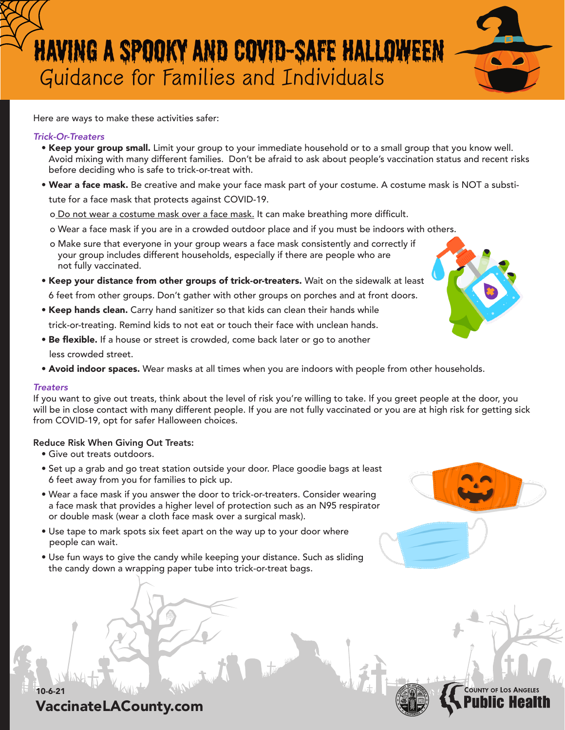# Having a Spooky and COVID-Safe Halloween Guidance for Families and Individuals

Here are ways to make these activities safer:

### *Trick-Or-Treaters*

- Keep your group small. Limit your group to your immediate household or to a small group that you know well. Avoid mixing with many different families. Don't be afraid to ask about people's vaccination status and recent risks before deciding who is safe to trick-or-treat with.
- Wear a face mask. Be creative and make your face mask part of your costume. A costume mask is NOT a substitute for a face mask that protects against COVID-19.
	- o Do not wear a costume mask over a face mask. It can make breathing more difficult.
	- o Wear a face mask if you are in a crowded outdoor place and if you must be indoors with others.
	- o Make sure that everyone in your group wears a face mask consistently and correctly if your group includes different households, especially if there are people who are not fully vaccinated.
- Keep your distance from other groups of trick-or-treaters. Wait on the sidewalk at least 6 feet from other groups. Don't gather with other groups on porches and at front doors.
- Keep hands clean. Carry hand sanitizer so that kids can clean their hands while

trick-or-treating. Remind kids to not eat or touch their face with unclean hands.

- Be flexible. If a house or street is crowded, come back later or go to another less crowded street.
- Avoid indoor spaces. Wear masks at all times when you are indoors with people from other households.

#### *Treaters*

10-6-21

If you want to give out treats, think about the level of risk you're willing to take. If you greet people at the door, you will be in close contact with many different people. If you are not fully vaccinated or you are at high risk for getting sick from COVID-19, opt for safer Halloween choices.

#### Reduce Risk When Giving Out Treats:

- Give out treats outdoors.
- Set up a grab and go treat station outside your door. Place goodie bags at least 6 feet away from you for families to pick up.
- Wear a face mask if you answer the door to trick-or-treaters. Consider wearing a face mask that provides a higher level of protection such as an N95 respirator or double mask (wear a cloth face mask over a surgical mask).
- Use tape to mark spots six feet apart on the way up to your door where people can wait.
- Use fun ways to give the candy while keeping your distance. Such as sliding the candy down a wrapping paper tube into trick-or-treat bags.



**COUNTY OF LOS**